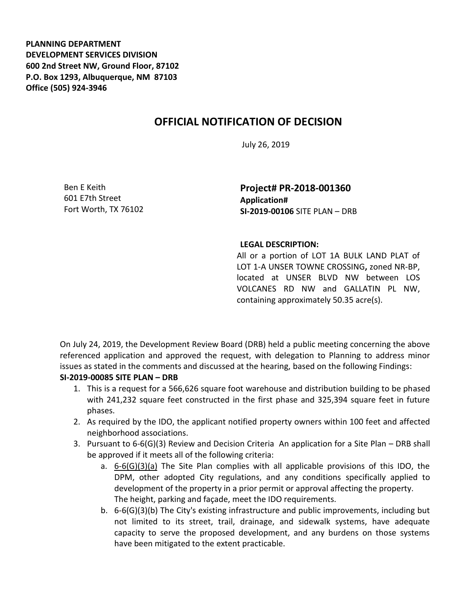**PLANNING DEPARTMENT DEVELOPMENT SERVICES DIVISION 600 2nd Street NW, Ground Floor, 87102 P.O. Box 1293, Albuquerque, NM 87103 Office (505) 924-3946** 

## **OFFICIAL NOTIFICATION OF DECISION**

July 26, 2019

Ben E Keith 601 E7th Street Fort Worth, TX 76102

**Project# PR-2018-001360 Application# SI-2019-00106** SITE PLAN – DRB

## **LEGAL DESCRIPTION:**

All or a portion of LOT 1A BULK LAND PLAT of LOT 1-A UNSER TOWNE CROSSING**,** zoned NR-BP, located at UNSER BLVD NW between LOS VOLCANES RD NW and GALLATIN PL NW, containing approximately 50.35 acre(s).

On July 24, 2019, the Development Review Board (DRB) held a public meeting concerning the above referenced application and approved the request, with delegation to Planning to address minor issues as stated in the comments and discussed at the hearing, based on the following Findings:

## **SI-2019-00085 SITE PLAN – DRB**

- 1. This is a request for a 566,626 square foot warehouse and distribution building to be phased with 241,232 square feet constructed in the first phase and 325,394 square feet in future phases.
- 2. As required by the IDO, the applicant notified property owners within 100 feet and affected neighborhood associations.
- 3. Pursuant to 6-6(G)(3) Review and Decision Criteria An application for a Site Plan DRB shall be approved if it meets all of the following criteria:
	- a. 6-6(G)(3)(a) The Site Plan complies with all applicable provisions of this IDO, the DPM, other adopted City regulations, and any conditions specifically applied to development of the property in a prior permit or approval affecting the property. The height, parking and façade, meet the IDO requirements.
	- b. 6-6(G)(3)(b) The City's existing infrastructure and public improvements, including but not limited to its street, trail, drainage, and sidewalk systems, have adequate capacity to serve the proposed development, and any burdens on those systems have been mitigated to the extent practicable.